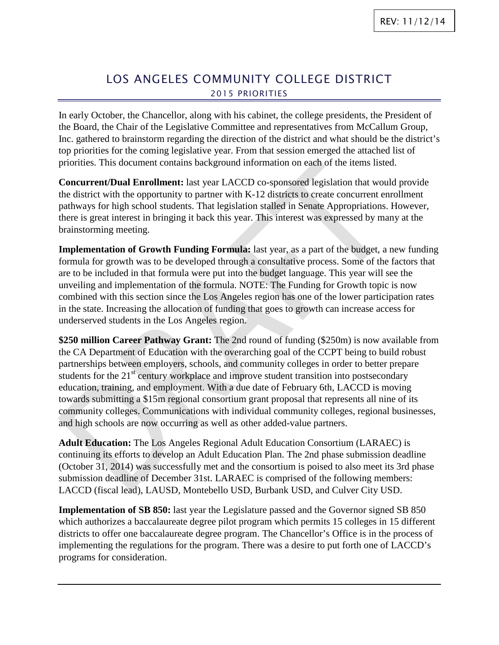## LOS ANGELES COMMUNITY COLLEGE DISTRICT 2015 PRIORITIES

In early October, the Chancellor, along with his cabinet, the college presidents, the President of the Board, the Chair of the Legislative Committee and representatives from McCallum Group, Inc. gathered to brainstorm regarding the direction of the district and what should be the district's top priorities for the coming legislative year. From that session emerged the attached list of priorities. This document contains background information on each of the items listed.

**Concurrent/Dual Enrollment:** last year LACCD co-sponsored legislation that would provide the district with the opportunity to partner with K-12 districts to create concurrent enrollment pathways for high school students. That legislation stalled in Senate Appropriations. However, there is great interest in bringing it back this year. This interest was expressed by many at the brainstorming meeting.

**Implementation of Growth Funding Formula:** last year, as a part of the budget, a new funding formula for growth was to be developed through a consultative process. Some of the factors that are to be included in that formula were put into the budget language. This year will see the unveiling and implementation of the formula. NOTE: The Funding for Growth topic is now combined with this section since the Los Angeles region has one of the lower participation rates in the state. Increasing the allocation of funding that goes to growth can increase access for underserved students in the Los Angeles region.

**\$250 million Career Pathway Grant:** The 2nd round of funding (\$250m) is now available from the CA Department of Education with the overarching goal of the CCPT being to build robust partnerships between employers, schools, and community colleges in order to better prepare students for the  $21<sup>st</sup>$  century workplace and improve student transition into postsecondary education, training, and employment. With a due date of February 6th, LACCD is moving towards submitting a \$15m regional consortium grant proposal that represents all nine of its community colleges. Communications with individual community colleges, regional businesses, and high schools are now occurring as well as other added-value partners.

**Adult Education:** The Los Angeles Regional Adult Education Consortium (LARAEC) is continuing its efforts to develop an Adult Education Plan. The 2nd phase submission deadline (October 31, 2014) was successfully met and the consortium is poised to also meet its 3rd phase submission deadline of December 31st. LARAEC is comprised of the following members: LACCD (fiscal lead), LAUSD, Montebello USD, Burbank USD, and Culver City USD.

**Implementation of SB 850:** last year the Legislature passed and the Governor signed SB 850 which authorizes a baccalaureate degree pilot program which permits 15 colleges in 15 different districts to offer one baccalaureate degree program. The Chancellor's Office is in the process of implementing the regulations for the program. There was a desire to put forth one of LACCD's programs for consideration.